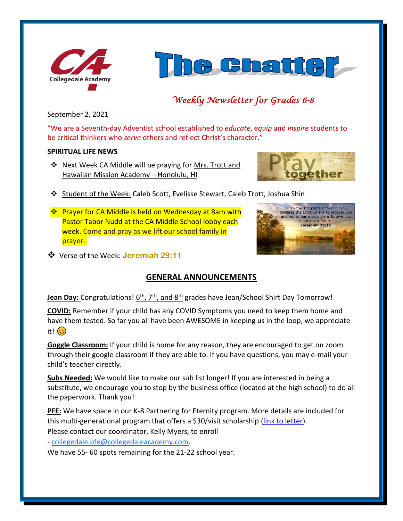



# *Weekly Newsletter for Grades 6-8*

September 2, 2021

"We are a Seventh-day Adventist school established to *educate*, *equip* and *inspire* students to be critical thinkers who *serve* others and reflect Christ's character."

### **SPIRITUAL LIFE NEWS**

❖ Next Week CA Middle will be praying for Mrs. Trott and Hawaiian Mission Academy – Honolulu, HI



- ❖ Student of the Week: Caleb Scott, Evelisse Stewart, Caleb Trott, Joshua Shin
- ❖ Prayer for CA Middle is held on Wednesday at 8am with Pastor Tabor Nudd at the CA Middle School lobby each week. Come and pray as we lift our school family in prayer.



❖ Verse of the Week: **Jeremiah 29:11**

# **GENERAL ANNOUNCEMENTS**

**Jean Day:** Congratulations! 6<sup>th</sup>, 7<sup>th</sup>, and 8<sup>th</sup> grades have Jean/School Shirt Day Tomorrow!

**COVID:** Remember if your child has any COVID Symptoms you need to keep them home and have them tested. So far you all have been AWESOME in keeping us in the loop, we appreciate it! (හ)

**Goggle Classroom:** If your child is home for any reason, they are encouraged to get on zoom through their google classroom if they are able to. If you have questions, you may e-mail your child's teacher directly.

**Subs Needed:** We would like to make our sub list longer! If you are interested in being a substitute, we encourage you to stop by the business office (located at the high school) to do all the paperwork. Thank you!

**PFE:** We have space in our K-8 Partnering for Eternity program. More details are included for this multi-generational program that offers a \$30/visit scholarship [\(link to letter\)](https://www.collegedaleacademy.com/wp-content/uploads/2021/09/PFE_PgmEntryExplanation_2021_K-8.pdf). Please contact our coordinator, Kelly Myers, to enroll

- [collegedale.pfe@collegedaleacademy.com.](mailto:collegedale.pfe@collegedaleacademy.com)

We have 55- 60 spots remaining for the 21-22 school year.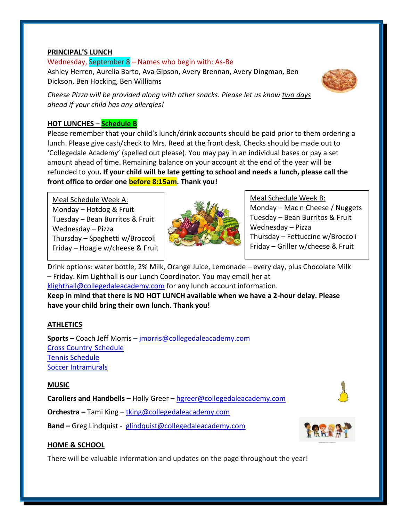#### **PRINCIPAL'S LUNCH**

Wednesday, September 8 – Names who begin with: As-Be Ashley Herren, Aurelia Barto, Ava Gipson, Avery Brennan, Avery Dingman, Ben Dickson, Ben Hocking, Ben Williams



*Cheese Pizza will be provided along with other snacks. Please let us know two days ahead if your child has any allergies!*

# **HOT LUNCHES – Schedule B**

Please remember that your child's lunch/drink accounts should be paid prior to them ordering a lunch. Please give cash/check to Mrs. Reed at the front desk. Checks should be made out to 'Collegedale Academy' (spelled out please). You may pay in an individual bases or pay a set amount ahead of time. Remaining balance on your account at the end of the year will be refunded to you**. If your child will be late getting to school and needs a lunch, please call the front office to order one before 8:15am. Thank you!** 

Meal Schedule Week A: Monday - Hotdog & Fruit Tuesday – Bean Burritos & Fruit Wednesday – Pizza Thursday – Spaghetti w/Broccoli Friday – Hoagie w/cheese & Fruit



Meal Schedule Week B: Monday – Mac n Cheese / Nuggets Tuesday – Bean Burritos & Fruit Wednesday – Pizza Thursday – Fettuccine w/Broccoli Friday – Griller w/cheese & Fruit

Drink options: water bottle, 2% Milk, Orange Juice, Lemonade – every day, plus Chocolate Milk – Friday. Kim Lighthall is our Lunch Coordinator. You may email her at [klighthall@collegedaleacademy.com](mailto:klighthall@collegedaleacademy.com) for any lunch account information. **Keep in mind that there is NO HOT LUNCH available when we have a 2-hour delay. Please have your child bring their own lunch. Thank you!**

### **ATHLETICS**

**Sports** – Coach Jeff Morris – [jmorris@collegedaleacademy.com](mailto:jmorris@collegedaleacademy.com) [Cross Country](https://www.collegedaleacademy.com/wp-content/uploads/2021/08/2021-2022-Cross-Country-Schedule.pdf) Schedule [Tennis Schedule](https://www.collegedaleacademy.com/wp-content/uploads/2021/08/2021-2022-Tennis-Schedule.pdf) [Soccer Intramurals](https://www.collegedaleacademy.com/wp-content/uploads/2021/08/Soccer-intramural-Teams-n-Schedule.pdf)

#### **MUSIC**

**Caroliers and Handbells –** Holly Greer – [hgreer@collegedaleacademy.com](mailto:hgreer@collegedaleacademy.com)

**Orchestra –** Tami King – [tking@collegedaleacademy.com](mailto:tking@collegedaleacademy.com)

**Band –** Greg Lindquist - [glindquist@collegedaleacademy.com](mailto:glindquist@collegedaleacademy.com)



### **HOME & SCHOOL**

There will be valuable information and updates on the page throughout the year!